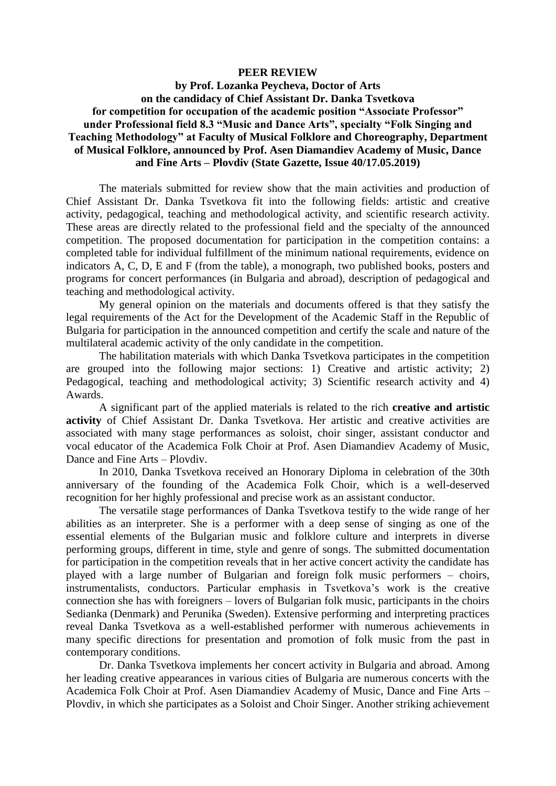## **PEER REVIEW**

## **by Prof. Lozanka Peycheva, Doctor of Arts on the candidacy of Chief Assistant Dr. Danka Tsvetkova for competition for occupation of the academic position "Associate Professor" under Professional field 8.3 "Music and Dance Arts", specialty "Folk Singing and Teaching Methodology" at Faculty of Musical Folklore and Choreography, Department of Musical Folklore, announced by Prof. Asen Diamandiev Academy of Music, Dance and Fine Arts – Plovdiv (State Gazette, Issue 40/17.05.2019)**

The materials submitted for review show that the main activities and production of Chief Assistant Dr. Danka Tsvetkova fit into the following fields: artistic and creative activity, pedagogical, teaching and methodological activity, and scientific research activity. These areas are directly related to the professional field and the specialty of the announced competition. The proposed documentation for participation in the competition contains: a completed table for individual fulfillment of the minimum national requirements, evidence on indicators A, C, D, E and F (from the table), a monograph, two published books, posters and programs for concert performances (in Bulgaria and abroad), description of pedagogical and teaching and methodological activity.

My general opinion on the materials and documents offered is that they satisfy the legal requirements of the Act for the Development of the Academic Staff in the Republic of Bulgaria for participation in the announced competition and certify the scale and nature of the multilateral academic activity of the only candidate in the competition.

The habilitation materials with which Danka Tsvetkova participates in the competition are grouped into the following major sections: 1) Creative and artistic activity; 2) Pedagogical, teaching and methodological activity; 3) Scientific research activity and 4) Awards.

A significant part of the applied materials is related to the rich **creative and artistic**  activity of Chief Assistant Dr. Danka Tsvetkova. Her artistic and creative activities are associated with many stage performances as soloist, choir singer, assistant conductor and vocal educator of the Academica Folk Choir at Prof. Asen Diamandiev Academy of Music, Dance and Fine Arts – Plovdiv.

In 2010, Danka Tsvetkova received an Honorary Diploma in celebration of the 30th anniversary of the founding of the Academica Folk Choir, which is a well-deserved recognition for her highly professional and precise work as an assistant conductor.

The versatile stage performances of Danka Tsvetkova testify to the wide range of her abilities as an interpreter. She is a performer with a deep sense of singing as one of the essential elements of the Bulgarian music and folklore culture and interprets in diverse performing groups, different in time, style and genre of songs. The submitted documentation for participation in the competition reveals that in her active concert activity the candidate has played with a large number of Bulgarian and foreign folk music performers – choirs, instrumentalists, conductors. Particular emphasis in Tsvetkova's work is the creative connection she has with foreigners – lovers of Bulgarian folk music, participants in the choirs Sedianka (Denmark) and Perunika (Sweden). Extensive performing and interpreting practices reveal Danka Tsvetkova as a well-established performer with numerous achievements in many specific directions for presentation and promotion of folk music from the past in contemporary conditions.

Dr. Danka Tsvetkova implements her concert activity in Bulgaria and abroad. Among her leading creative appearances in various cities of Bulgaria are numerous concerts with the Academica Folk Choir at Prof. Asen Diamandiev Academy of Music, Dance and Fine Arts – Plovdiv, in which she participates as a Soloist and Choir Singer. Another striking achievement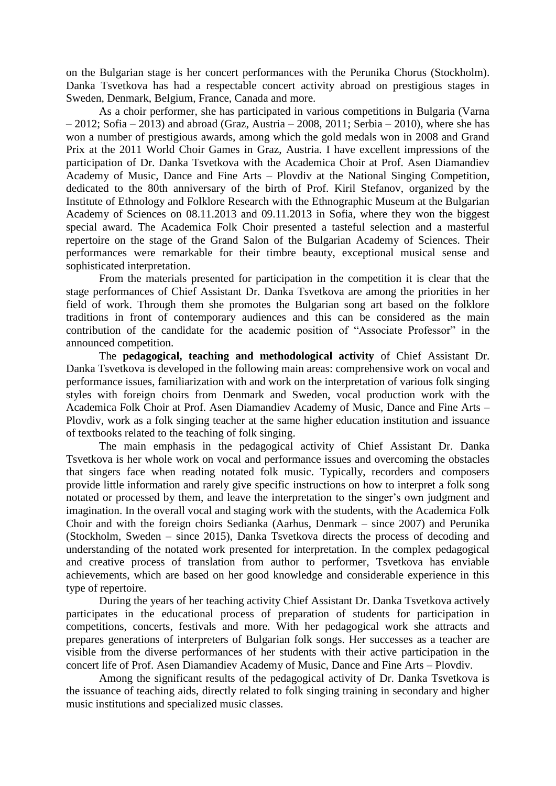on the Bulgarian stage is her concert performances with the Perunika Chorus (Stockholm). Danka Tsvetkova has had a respectable concert activity abroad on prestigious stages in Sweden, Denmark, Belgium, France, Canada and more.

As a choir performer, she has participated in various competitions in Bulgaria (Varna  $-2012$ ; Sofia – 2013) and abroad (Graz, Austria – 2008, 2011; Serbia – 2010), where she has won a number of prestigious awards, among which the gold medals won in 2008 and Grand Prix at the 2011 World Choir Games in Graz, Austria. I have excellent impressions of the participation of Dr. Danka Tsvetkova with the Academica Choir at Prof. Asen Diamandiev Academy of Music, Dance and Fine Arts – Plovdiv at the National Singing Competition, dedicated to the 80th anniversary of the birth of Prof. Kiril Stefanov, organized by the Institute of Ethnology and Folklore Research with the Ethnographic Museum at the Bulgarian Academy of Sciences on 08.11.2013 and 09.11.2013 in Sofia, where they won the biggest special award. The Academica Folk Choir presented a tasteful selection and a masterful repertoire on the stage of the Grand Salon of the Bulgarian Academy of Sciences. Their performances were remarkable for their timbre beauty, exceptional musical sense and sophisticated interpretation.

From the materials presented for participation in the competition it is clear that the stage performances of Chief Assistant Dr. Danka Tsvetkova are among the priorities in her field of work. Through them she promotes the Bulgarian song art based on the folklore traditions in front of contemporary audiences and this can be considered as the main contribution of the candidate for the academic position of "Associate Professor" in the announced competition.

The **pedagogical, teaching and methodological activity** of Chief Assistant Dr. Danka Tsvetkova is developed in the following main areas: comprehensive work on vocal and performance issues, familiarization with and work on the interpretation of various folk singing styles with foreign choirs from Denmark and Sweden, vocal production work with the Academica Folk Choir at Prof. Asen Diamandiev Academy of Music, Dance and Fine Arts – Plovdiv, work as a folk singing teacher at the same higher education institution and issuance of textbooks related to the teaching of folk singing.

The main emphasis in the pedagogical activity of Chief Assistant Dr. Danka Tsvetkova is her whole work on vocal and performance issues and overcoming the obstacles that singers face when reading notated folk music. Typically, recorders and composers provide little information and rarely give specific instructions on how to interpret a folk song notated or processed by them, and leave the interpretation to the singer's own judgment and imagination. In the overall vocal and staging work with the students, with the Academica Folk Choir and with the foreign choirs Sedianka (Aarhus, Denmark – since 2007) and Perunika (Stockholm, Sweden – since 2015), Danka Tsvetkova directs the process of decoding and understanding of the notated work presented for interpretation. In the complex pedagogical and creative process of translation from author to performer, Tsvetkova has enviable achievements, which are based on her good knowledge and considerable experience in this type of repertoire.

During the years of her teaching activity Chief Assistant Dr. Danka Tsvetkova actively participates in the educational process of preparation of students for participation in competitions, concerts, festivals and more. With her pedagogical work she attracts and prepares generations of interpreters of Bulgarian folk songs. Her successes as a teacher are visible from the diverse performances of her students with their active participation in the concert life of Prof. Asen Diamandiev Academy of Music, Dance and Fine Arts – Plovdiv.

Among the significant results of the pedagogical activity of Dr. Danka Tsvetkova is the issuance of teaching aids, directly related to folk singing training in secondary and higher music institutions and specialized music classes.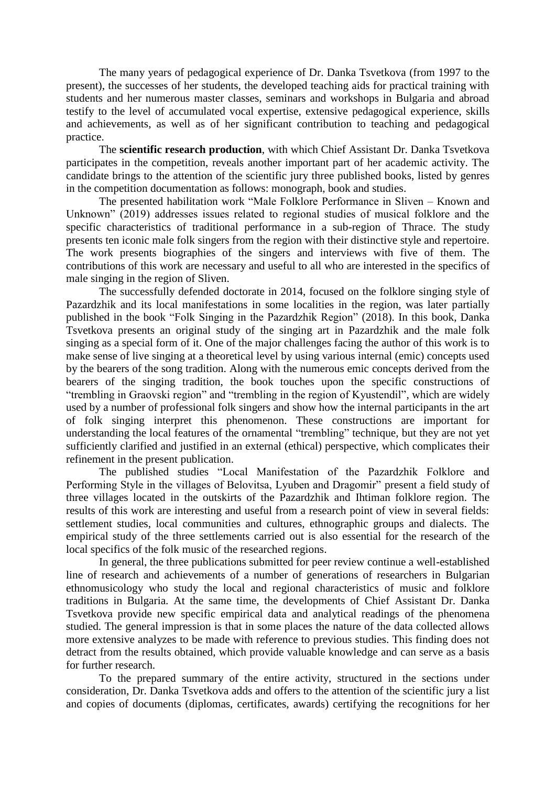The many years of pedagogical experience of Dr. Danka Tsvetkova (from 1997 to the present), the successes of her students, the developed teaching aids for practical training with students and her numerous master classes, seminars and workshops in Bulgaria and abroad testify to the level of accumulated vocal expertise, extensive pedagogical experience, skills and achievements, as well as of her significant contribution to teaching and pedagogical practice.

The **scientific research production**, with which Chief Assistant Dr. Danka Tsvetkova participates in the competition, reveals another important part of her academic activity. The candidate brings to the attention of the scientific jury three published books, listed by genres in the competition documentation as follows: monograph, book and studies.

The presented habilitation work "Male Folklore Performance in Sliven – Known and Unknown" (2019) addresses issues related to regional studies of musical folklore and the specific characteristics of traditional performance in a sub-region of Thrace. The study presents ten iconic male folk singers from the region with their distinctive style and repertoire. The work presents biographies of the singers and interviews with five of them. The contributions of this work are necessary and useful to all who are interested in the specifics of male singing in the region of Sliven.

The successfully defended doctorate in 2014, focused on the folklore singing style of Pazardzhik and its local manifestations in some localities in the region, was later partially published in the book "Folk Singing in the Pazardzhik Region" (2018). In this book, Danka Tsvetkova presents an original study of the singing art in Pazardzhik and the male folk singing as a special form of it. One of the major challenges facing the author of this work is to make sense of live singing at a theoretical level by using various internal (emic) concepts used by the bearers of the song tradition. Along with the numerous emic concepts derived from the bearers of the singing tradition, the book touches upon the specific constructions of "trembling in Graovski region" and "trembling in the region of Kyustendil", which are widely used by a number of professional folk singers and show how the internal participants in the art of folk singing interpret this phenomenon. These constructions are important for understanding the local features of the ornamental "trembling" technique, but they are not yet sufficiently clarified and justified in an external (ethical) perspective, which complicates their refinement in the present publication.

The published studies "Local Manifestation of the Pazardzhik Folklore and Performing Style in the villages of Belovitsa, Lyuben and Dragomir" present a field study of three villages located in the outskirts of the Pazardzhik and Ihtiman folklore region. The results of this work are interesting and useful from a research point of view in several fields: settlement studies, local communities and cultures, ethnographic groups and dialects. The empirical study of the three settlements carried out is also essential for the research of the local specifics of the folk music of the researched regions.

In general, the three publications submitted for peer review continue a well-established line of research and achievements of a number of generations of researchers in Bulgarian ethnomusicology who study the local and regional characteristics of music and folklore traditions in Bulgaria. At the same time, the developments of Chief Assistant Dr. Danka Tsvetkova provide new specific empirical data and analytical readings of the phenomena studied. The general impression is that in some places the nature of the data collected allows more extensive analyzes to be made with reference to previous studies. This finding does not detract from the results obtained, which provide valuable knowledge and can serve as a basis for further research.

To the prepared summary of the entire activity, structured in the sections under consideration, Dr. Danka Tsvetkova adds and offers to the attention of the scientific jury a list and copies of documents (diplomas, certificates, awards) certifying the recognitions for her